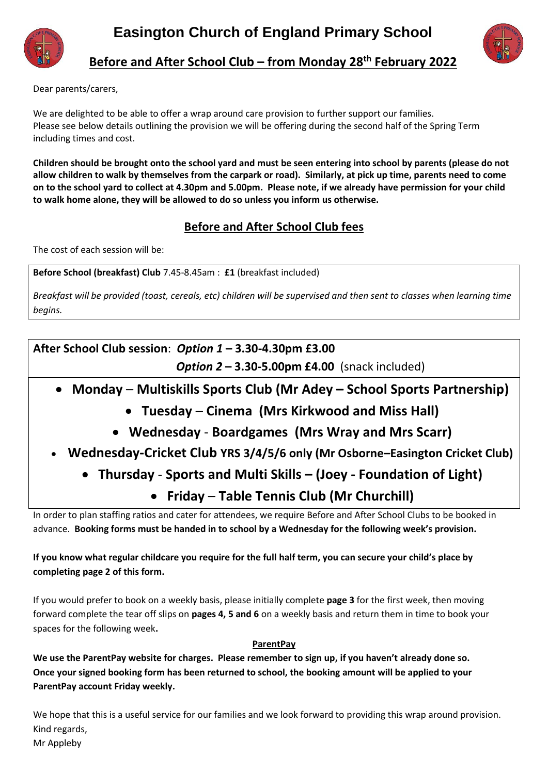



**Before and After School Club – from Monday 28th February 2022**

Dear parents/carers,

We are delighted to be able to offer a wrap around care provision to further support our families. Please see below details outlining the provision we will be offering during the second half of the Spring Term including times and cost.

**Children should be brought onto the school yard and must be seen entering into school by parents (please do not allow children to walk by themselves from the carpark or road). Similarly, at pick up time, parents need to come on to the school yard to collect at 4.30pm and 5.00pm. Please note, if we already have permission for your child to walk home alone, they will be allowed to do so unless you inform us otherwise.** 

### **Before and After School Club fees**

The cost of each session will be:

**Before School (breakfast) Club** 7.45-8.45am : **£1** (breakfast included)

*Breakfast will be provided (toast, cereals, etc) children will be supervised and then sent to classes when learning time begins.* 

**After School Club session**: *Option 1* **– 3.30-4.30pm £3.00** *Option 2* **– 3.30-5.00pm £4.00** (snack included)

- **Monday Multiskills Sports Club (Mr Adey – School Sports Partnership)**
	- **Tuesday Cinema (Mrs Kirkwood and Miss Hall)**
	- **Wednesday Boardgames (Mrs Wray and Mrs Scarr)**
- **Wednesday-Cricket Club YRS 3/4/5/6 only (Mr Osborne–Easington Cricket Club)**
	- **Thursday Sports and Multi Skills – (Joey - Foundation of Light)**

# **Friday** – **Table Tennis Club (Mr Churchill)**

In order to plan staffing ratios and cater for attendees, we require Before and After School Clubs to be booked in advance. **Booking forms must be handed in to school by a Wednesday for the following week's provision.**

### **If you know what regular childcare you require for the full half term, you can secure your child's place by completing page 2 of this form.**

If you would prefer to book on a weekly basis, please initially complete **page 3** for the first week, then moving forward complete the tear off slips on **pages 4, 5 and 6** on a weekly basis and return them in time to book your spaces for the following week**.** 

### **ParentPay**

**We use the ParentPay website for charges. Please remember to sign up, if you haven't already done so. Once your signed booking form has been returned to school, the booking amount will be applied to your ParentPay account Friday weekly.** 

We hope that this is a useful service for our families and we look forward to providing this wrap around provision. Kind regards, Mr Appleby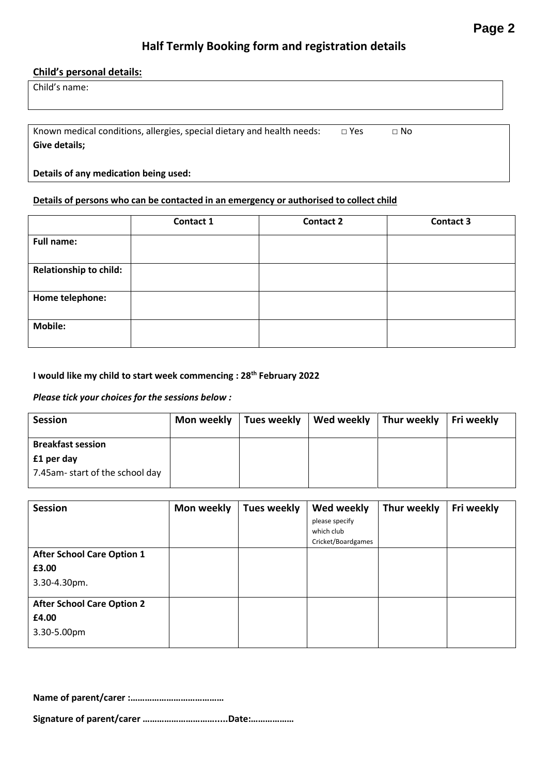## **Half Termly Booking form and registration details**

#### **Child's personal details:**

| Child's name: |  |
|---------------|--|
|---------------|--|

Known medical conditions, allergies, special dietary and health needs:  $□$  Yes  $□$  No **Give details;**

#### **Details of any medication being used:**

#### **Details of persons who can be contacted in an emergency or authorised to collect child**

|                        | Contact 1 | <b>Contact 2</b> | <b>Contact 3</b> |
|------------------------|-----------|------------------|------------------|
| <b>Full name:</b>      |           |                  |                  |
|                        |           |                  |                  |
| Relationship to child: |           |                  |                  |
| Home telephone:        |           |                  |                  |
| <b>Mobile:</b>         |           |                  |                  |

#### **I would like my child to start week commencing : 28th February 2022**

#### *Please tick your choices for the sessions below :*

| <b>Session</b>                 | Mon weekly   Tues weekly   Wed weekly   Thur weekly |  | Fri weekly |
|--------------------------------|-----------------------------------------------------|--|------------|
| <b>Breakfast session</b>       |                                                     |  |            |
| £1 per day                     |                                                     |  |            |
| 7.45am-start of the school day |                                                     |  |            |

| <b>Session</b>                    | Mon weekly | <b>Tues weekly</b> | Wed weekly         | Thur weekly | Fri weekly |
|-----------------------------------|------------|--------------------|--------------------|-------------|------------|
|                                   |            |                    | please specify     |             |            |
|                                   |            |                    | which club         |             |            |
|                                   |            |                    | Cricket/Boardgames |             |            |
| <b>After School Care Option 1</b> |            |                    |                    |             |            |
| £3.00                             |            |                    |                    |             |            |
| 3.30-4.30pm.                      |            |                    |                    |             |            |
| <b>After School Care Option 2</b> |            |                    |                    |             |            |
| £4.00                             |            |                    |                    |             |            |
| 3.30-5.00pm                       |            |                    |                    |             |            |

**Name of parent/carer :…………………………………**

**Signature of parent/carer ………………………….....Date:………………**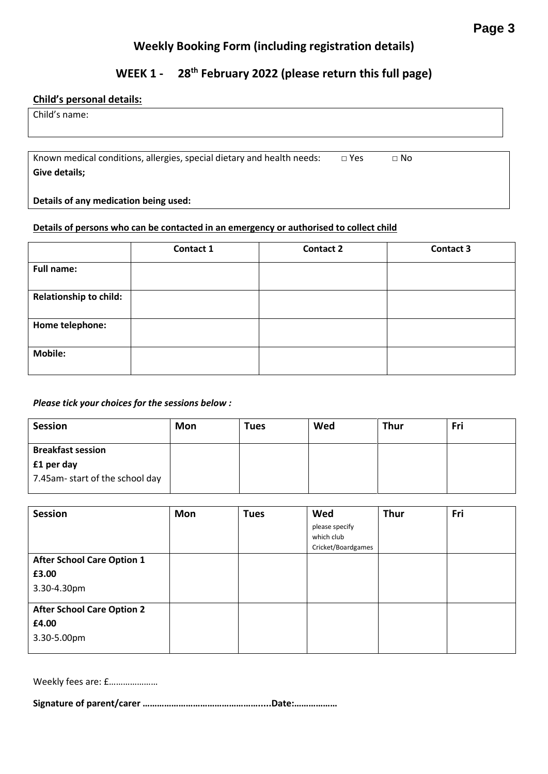### **Weekly Booking Form (including registration details)**

## **WEEK 1 - 28th February 2022 (please return this full page)**

### **Child's personal details:**

Child's name:

Known medical conditions, allergies, special dietary and health needs:  $□$  Yes  $□$  No **Give details;**

**Details of any medication being used:**

#### **Details of persons who can be contacted in an emergency or authorised to collect child**

|                               | Contact 1 | <b>Contact 2</b> | <b>Contact 3</b> |
|-------------------------------|-----------|------------------|------------------|
| <b>Full name:</b>             |           |                  |                  |
| <b>Relationship to child:</b> |           |                  |                  |
| Home telephone:               |           |                  |                  |
| <b>Mobile:</b>                |           |                  |                  |

#### *Please tick your choices for the sessions below :*

| <b>Session</b>                                                           | Mon | Tues | Wed | <b>Thur</b> | Fri |
|--------------------------------------------------------------------------|-----|------|-----|-------------|-----|
| <b>Breakfast session</b><br>£1 per day<br>7.45am-start of the school day |     |      |     |             |     |

| <b>Session</b>                    | <b>Mon</b> | <b>Tues</b> | Wed                | <b>Thur</b> | Fri |
|-----------------------------------|------------|-------------|--------------------|-------------|-----|
|                                   |            |             | please specify     |             |     |
|                                   |            |             | which club         |             |     |
|                                   |            |             | Cricket/Boardgames |             |     |
| <b>After School Care Option 1</b> |            |             |                    |             |     |
| £3.00                             |            |             |                    |             |     |
| 3.30-4.30pm                       |            |             |                    |             |     |
| <b>After School Care Option 2</b> |            |             |                    |             |     |
| £4.00                             |            |             |                    |             |     |
| 3.30-5.00pm                       |            |             |                    |             |     |

Weekly fees are: £…………………

**Signature of parent/carer ………………………………………….....Date:………………**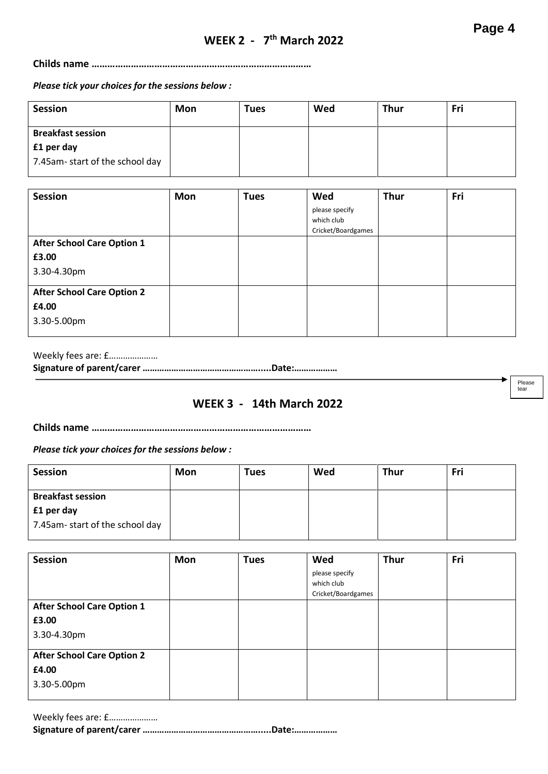**Childs name …………………………………………………………………………**

*Please tick your choices for the sessions below :* 

| <b>Session</b>                 | Mon | <b>Tues</b> | Wed | <b>Thur</b> | Fri |
|--------------------------------|-----|-------------|-----|-------------|-----|
| <b>Breakfast session</b>       |     |             |     |             |     |
| £1 per day                     |     |             |     |             |     |
| 7.45am-start of the school day |     |             |     |             |     |

| <b>Session</b>                    | Mon | <b>Tues</b> | Wed                | <b>Thur</b> | Fri |
|-----------------------------------|-----|-------------|--------------------|-------------|-----|
|                                   |     |             | please specify     |             |     |
|                                   |     |             | which club         |             |     |
|                                   |     |             | Cricket/Boardgames |             |     |
| <b>After School Care Option 1</b> |     |             |                    |             |     |
| £3.00                             |     |             |                    |             |     |
| 3.30-4.30pm                       |     |             |                    |             |     |
| <b>After School Care Option 2</b> |     |             |                    |             |     |
| £4.00                             |     |             |                    |             |     |
| 3.30-5.00pm                       |     |             |                    |             |     |

Weekly fees are: £………………… **Signature of parent/carer ………………………………………….....Date:………………**

### **WEEK 3 - 14th March 2022**

**Childs name …………………………………………………………………………**

*Please tick your choices for the sessions below :* 

| Session                        | Mon | <b>Tues</b> | Wed | <b>Thur</b> | Fri |
|--------------------------------|-----|-------------|-----|-------------|-----|
|                                |     |             |     |             |     |
| <b>Breakfast session</b>       |     |             |     |             |     |
| £1 per day                     |     |             |     |             |     |
| 7.45am-start of the school day |     |             |     |             |     |
|                                |     |             |     |             |     |

| <b>Session</b>                    | Mon | <b>Tues</b> | Wed                | <b>Thur</b> | Fri |
|-----------------------------------|-----|-------------|--------------------|-------------|-----|
|                                   |     |             | please specify     |             |     |
|                                   |     |             | which club         |             |     |
|                                   |     |             | Cricket/Boardgames |             |     |
| <b>After School Care Option 1</b> |     |             |                    |             |     |
| £3.00                             |     |             |                    |             |     |
| 3.30-4.30pm                       |     |             |                    |             |     |
| <b>After School Care Option 2</b> |     |             |                    |             |     |
| £4.00                             |     |             |                    |             |     |
| 3.30-5.00pm                       |     |             |                    |             |     |

| Weekly fees are: £ |  |
|--------------------|--|
|                    |  |

Please tear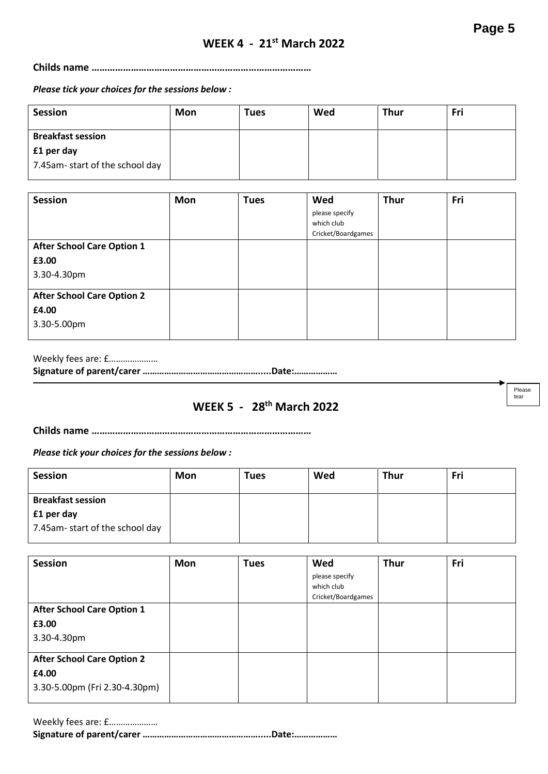Please tear

### **WEEK 4 - 21st March 2022**

**Childs name …………………………………………………………………………**

*Please tick your choices for the sessions below :* 

| <b>Session</b>                 | Mon | <b>Tues</b> | Wed | <b>Thur</b> | Fri |
|--------------------------------|-----|-------------|-----|-------------|-----|
| <b>Breakfast session</b>       |     |             |     |             |     |
| £1 per day                     |     |             |     |             |     |
| 7.45am-start of the school day |     |             |     |             |     |

| <b>Session</b>                    | Mon | <b>Tues</b> | Wed                | <b>Thur</b> | Fri |
|-----------------------------------|-----|-------------|--------------------|-------------|-----|
|                                   |     |             | please specify     |             |     |
|                                   |     |             | which club         |             |     |
|                                   |     |             | Cricket/Boardgames |             |     |
| <b>After School Care Option 1</b> |     |             |                    |             |     |
| £3.00                             |     |             |                    |             |     |
| 3.30-4.30pm                       |     |             |                    |             |     |
| <b>After School Care Option 2</b> |     |             |                    |             |     |
| £4.00                             |     |             |                    |             |     |
| 3.30-5.00pm                       |     |             |                    |             |     |

Weekly fees are: £………………… **Signature of parent/carer ………………………………………….....Date:………………**

## **WEEK 5 - 28th March 2022**

**Childs name …………………………………………………………………………**

*Please tick your choices for the sessions below :* 

| <b>Session</b>                 | Mon | <b>Tues</b> | Wed | <b>Thur</b> | Fri |
|--------------------------------|-----|-------------|-----|-------------|-----|
| <b>Breakfast session</b>       |     |             |     |             |     |
| £1 per day                     |     |             |     |             |     |
| 7.45am-start of the school day |     |             |     |             |     |

| <b>Session</b>                    | Mon | <b>Tues</b> | Wed                | <b>Thur</b> | Fri |
|-----------------------------------|-----|-------------|--------------------|-------------|-----|
|                                   |     |             | please specify     |             |     |
|                                   |     |             | which club         |             |     |
|                                   |     |             | Cricket/Boardgames |             |     |
| <b>After School Care Option 1</b> |     |             |                    |             |     |
| £3.00                             |     |             |                    |             |     |
| 3.30-4.30pm                       |     |             |                    |             |     |
| <b>After School Care Option 2</b> |     |             |                    |             |     |
| £4.00                             |     |             |                    |             |     |
| 3.30-5.00pm (Fri 2.30-4.30pm)     |     |             |                    |             |     |

| Weekly fees are: £ |  |
|--------------------|--|
|                    |  |